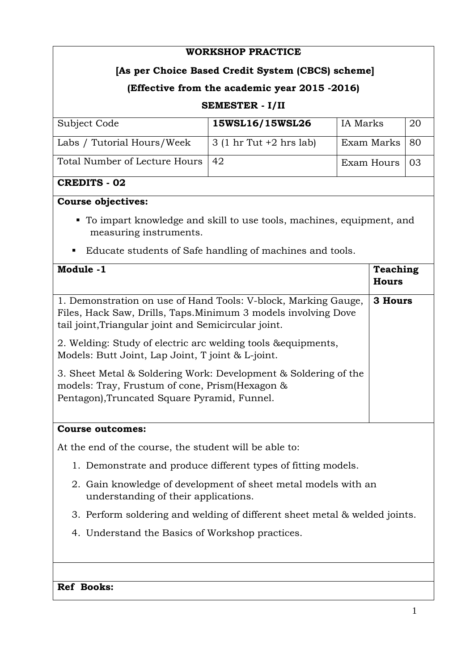## **WORKSHOP PRACTICE**

# **[As per Choice Based Credit System (CBCS) scheme]**

# **(Effective from the academic year 2015 -2016)**

### **SEMESTER - I/II**

| Subject Code                       | 15WSL16/15WSL26                 | IA Marks        | -20 |
|------------------------------------|---------------------------------|-----------------|-----|
| Labs / Tutorial Hours/Week         | $\vert$ 3 (1 hr Tut +2 hrs lab) | Exam Marks   80 |     |
| Total Number of Lecture Hours   42 |                                 | Exam Hours   03 |     |

### **CREDITS - 02**

### **Course objectives:**

- To impart knowledge and skill to use tools, machines, equipment, and measuring instruments.
- Educate students of Safe handling of machines and tools.

| Module -1                                                                                                                                                                                | <b>Teaching</b><br><b>Hours</b> |  |
|------------------------------------------------------------------------------------------------------------------------------------------------------------------------------------------|---------------------------------|--|
| 1. Demonstration on use of Hand Tools: V-block, Marking Gauge,<br>Files, Hack Saw, Drills, Taps. Minimum 3 models involving Dove<br>tail joint, Triangular joint and Semicircular joint. | 3 Hours                         |  |
| 2. Welding: Study of electric arc welding tools & equipments,<br>Models: Butt Joint, Lap Joint, T joint & L-joint.                                                                       |                                 |  |
| 3. Sheet Metal & Soldering Work: Development & Soldering of the<br>models: Tray, Frustum of cone, Prism(Hexagon &<br>Pentagon), Truncated Square Pyramid, Funnel.                        |                                 |  |
| <b>Course outcomes:</b>                                                                                                                                                                  |                                 |  |
| At the end of the course, the student will be able to:                                                                                                                                   |                                 |  |

- 1. Demonstrate and produce different types of fitting models.
- 2. Gain knowledge of development of sheet metal models with an understanding of their applications.
- 3. Perform soldering and welding of different sheet metal & welded joints.
- 4. Understand the Basics of Workshop practices.

#### **Ref Books:**